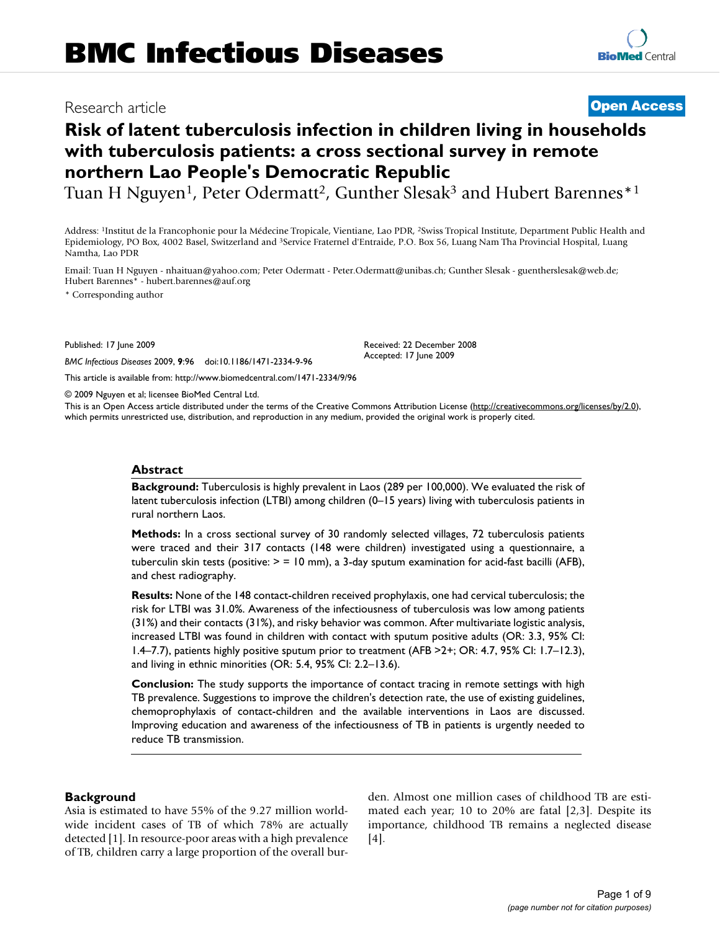# Research article **[Open Access](http://www.biomedcentral.com/info/about/charter/)**

# **Risk of latent tuberculosis infection in children living in households with tuberculosis patients: a cross sectional survey in remote northern Lao People's Democratic Republic**

Tuan H Nguyen<sup>1</sup>, Peter Odermatt<sup>2</sup>, Gunther Slesak<sup>3</sup> and Hubert Barennes<sup>\*1</sup>

Address: 1Institut de la Francophonie pour la Médecine Tropicale, Vientiane, Lao PDR, 2Swiss Tropical Institute, Department Public Health and Epidemiology, PO Box, 4002 Basel, Switzerland and 3Service Fraternel d'Entraide, P.O. Box 56, Luang Nam Tha Provincial Hospital, Luang Namtha, Lao PDR

Email: Tuan H Nguyen - nhaituan@yahoo.com; Peter Odermatt - Peter.Odermatt@unibas.ch; Gunther Slesak - guentherslesak@web.de; Hubert Barennes\* - hubert.barennes@auf.org

\* Corresponding author

Published: 17 June 2009

*BMC Infectious Diseases* 2009, **9**:96 doi:10.1186/1471-2334-9-96

[This article is available from: http://www.biomedcentral.com/1471-2334/9/96](http://www.biomedcentral.com/1471-2334/9/96)

© 2009 Nguyen et al; licensee BioMed Central Ltd.

This is an Open Access article distributed under the terms of the Creative Commons Attribution License [\(http://creativecommons.org/licenses/by/2.0\)](http://creativecommons.org/licenses/by/2.0), which permits unrestricted use, distribution, and reproduction in any medium, provided the original work is properly cited.

Received: 22 December 2008 Accepted: 17 June 2009

#### **Abstract**

**Background:** Tuberculosis is highly prevalent in Laos (289 per 100,000). We evaluated the risk of latent tuberculosis infection (LTBI) among children (0–15 years) living with tuberculosis patients in rural northern Laos.

**Methods:** In a cross sectional survey of 30 randomly selected villages, 72 tuberculosis patients were traced and their 317 contacts (148 were children) investigated using a questionnaire, a tuberculin skin tests (positive: > = 10 mm), a 3-day sputum examination for acid-fast bacilli (AFB), and chest radiography.

**Results:** None of the 148 contact-children received prophylaxis, one had cervical tuberculosis; the risk for LTBI was 31.0%. Awareness of the infectiousness of tuberculosis was low among patients (31%) and their contacts (31%), and risky behavior was common. After multivariate logistic analysis, increased LTBI was found in children with contact with sputum positive adults (OR: 3.3, 95% CI: 1.4–7.7), patients highly positive sputum prior to treatment (AFB >2+; OR: 4.7, 95% CI: 1.7–12.3), and living in ethnic minorities (OR: 5.4, 95% CI: 2.2–13.6).

**Conclusion:** The study supports the importance of contact tracing in remote settings with high TB prevalence. Suggestions to improve the children's detection rate, the use of existing guidelines, chemoprophylaxis of contact-children and the available interventions in Laos are discussed. Improving education and awareness of the infectiousness of TB in patients is urgently needed to reduce TB transmission.

### **Background**

Asia is estimated to have 55% of the 9.27 million worldwide incident cases of TB of which 78% are actually detected [1]. In resource-poor areas with a high prevalence of TB, children carry a large proportion of the overall burden. Almost one million cases of childhood TB are estimated each year; 10 to 20% are fatal [2,3]. Despite its importance, childhood TB remains a neglected disease [4].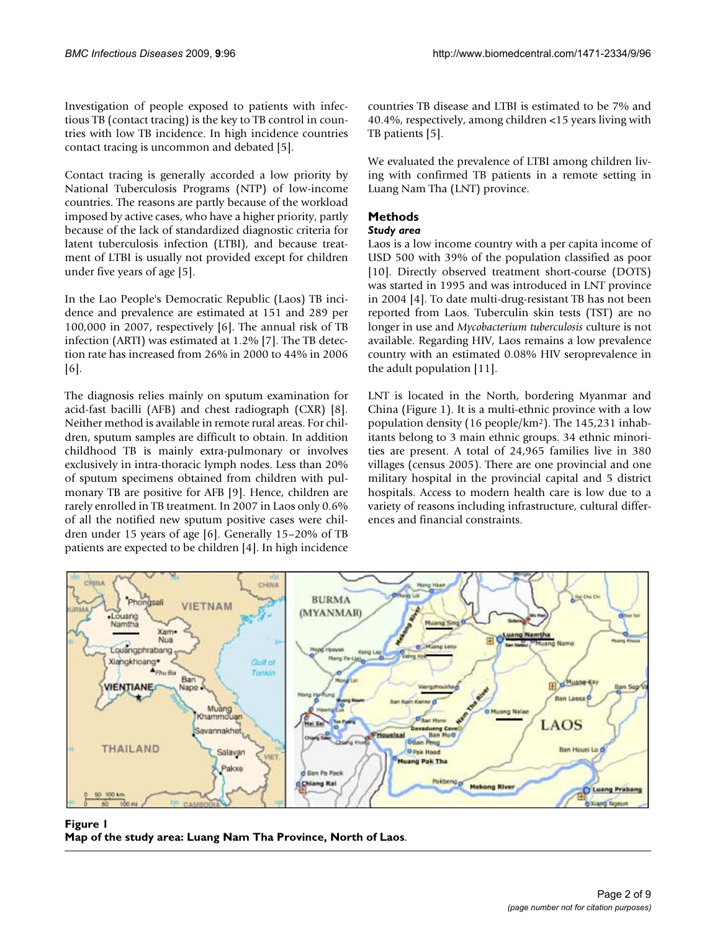Investigation of people exposed to patients with infectious TB (contact tracing) is the key to TB control in countries with low TB incidence. In high incidence countries contact tracing is uncommon and debated [5].

Contact tracing is generally accorded a low priority by National Tuberculosis Programs (NTP) of low-income countries. The reasons are partly because of the workload imposed by active cases, who have a higher priority, partly because of the lack of standardized diagnostic criteria for latent tuberculosis infection (LTBI), and because treatment of LTBI is usually not provided except for children under five years of age [5].

In the Lao People's Democratic Republic (Laos) TB incidence and prevalence are estimated at 151 and 289 per 100,000 in 2007, respectively [6]. The annual risk of TB infection (ARTI) was estimated at 1.2% [7]. The TB detection rate has increased from 26% in 2000 to 44% in 2006 [6].

The diagnosis relies mainly on sputum examination for acid-fast bacilli (AFB) and chest radiograph (CXR) [8]. Neither method is available in remote rural areas. For children, sputum samples are difficult to obtain. In addition childhood TB is mainly extra-pulmonary or involves exclusively in intra-thoracic lymph nodes. Less than 20% of sputum specimens obtained from children with pulmonary TB are positive for AFB [9]. Hence, children are rarely enrolled in TB treatment. In 2007 in Laos only 0.6% of all the notified new sputum positive cases were children under 15 years of age [6]. Generally 15–20% of TB patients are expected to be children [4]. In high incidence

countries TB disease and LTBI is estimated to be 7% and 40.4%, respectively, among children <15 years living with TB patients [5].

We evaluated the prevalence of LTBI among children living with confirmed TB patients in a remote setting in Luang Nam Tha (LNT) province.

# **Methods**

# *Study area*

Laos is a low income country with a per capita income of USD 500 with 39% of the population classified as poor [10]. Directly observed treatment short-course (DOTS) was started in 1995 and was introduced in LNT province in 2004 [4]. To date multi-drug-resistant TB has not been reported from Laos. Tuberculin skin tests (TST) are no longer in use and *Mycobacterium tuberculosis* culture is not available. Regarding HIV, Laos remains a low prevalence country with an estimated 0.08% HIV seroprevalence in the adult population [11].

LNT is located in the North, bordering Myanmar and China (Figure 1). It is a multi-ethnic province with a low population density (16 people/km2). The 145,231 inhabitants belong to 3 main ethnic groups. 34 ethnic minorities are present. A total of 24,965 families live in 380 villages (census 2005). There are one provincial and one military hospital in the provincial capital and 5 district hospitals. Access to modern health care is low due to a variety of reasons including infrastructure, cultural differences and financial constraints.



# **Figure 1 Map of the study area: Luang Nam Tha Province, North of Laos**.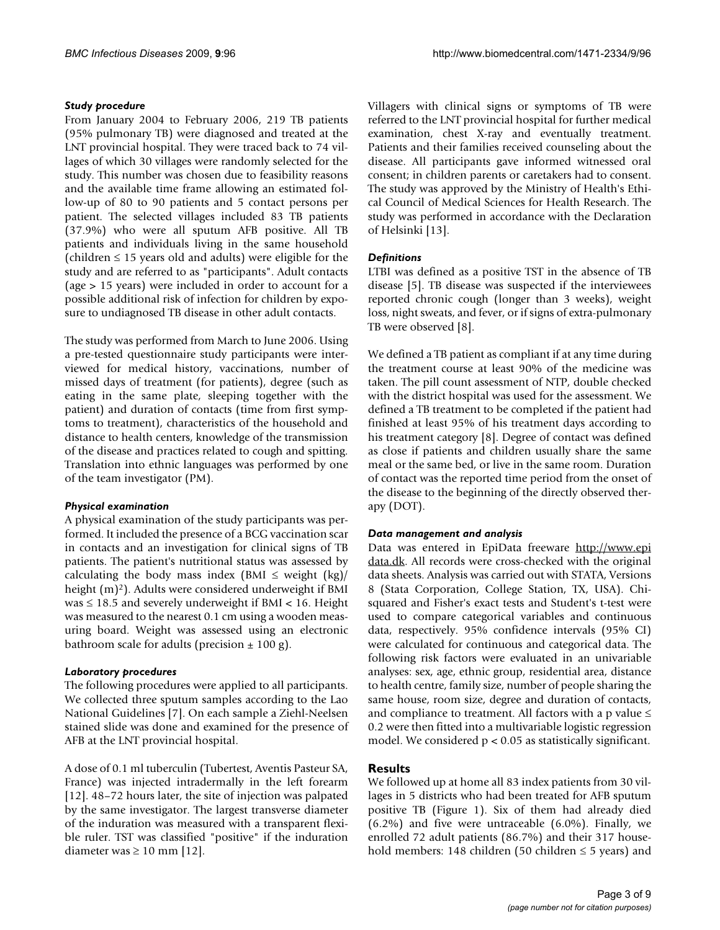# *Study procedure*

From January 2004 to February 2006, 219 TB patients (95% pulmonary TB) were diagnosed and treated at the LNT provincial hospital. They were traced back to 74 villages of which 30 villages were randomly selected for the study. This number was chosen due to feasibility reasons and the available time frame allowing an estimated follow-up of 80 to 90 patients and 5 contact persons per patient. The selected villages included 83 TB patients (37.9%) who were all sputum AFB positive. All TB patients and individuals living in the same household (children  $\leq$  15 years old and adults) were eligible for the study and are referred to as "participants". Adult contacts (age > 15 years) were included in order to account for a possible additional risk of infection for children by exposure to undiagnosed TB disease in other adult contacts.

The study was performed from March to June 2006. Using a pre-tested questionnaire study participants were interviewed for medical history, vaccinations, number of missed days of treatment (for patients), degree (such as eating in the same plate, sleeping together with the patient) and duration of contacts (time from first symptoms to treatment), characteristics of the household and distance to health centers, knowledge of the transmission of the disease and practices related to cough and spitting. Translation into ethnic languages was performed by one of the team investigator (PM).

# *Physical examination*

A physical examination of the study participants was performed. It included the presence of a BCG vaccination scar in contacts and an investigation for clinical signs of TB patients. The patient's nutritional status was assessed by calculating the body mass index (BMI  $\leq$  weight (kg)/ height (m)<sup>2</sup>). Adults were considered underweight if BMI was  $\leq 18.5$  and severely underweight if BMI < 16. Height was measured to the nearest 0.1 cm using a wooden measuring board. Weight was assessed using an electronic bathroom scale for adults (precision  $\pm$  100 g).

### *Laboratory procedures*

The following procedures were applied to all participants. We collected three sputum samples according to the Lao National Guidelines [7]. On each sample a Ziehl-Neelsen stained slide was done and examined for the presence of AFB at the LNT provincial hospital.

A dose of 0.1 ml tuberculin (Tubertest, Aventis Pasteur SA, France) was injected intradermally in the left forearm [12]. 48–72 hours later, the site of injection was palpated by the same investigator. The largest transverse diameter of the induration was measured with a transparent flexible ruler. TST was classified "positive" if the induration diameter was  $\geq 10$  mm [12].

Villagers with clinical signs or symptoms of TB were referred to the LNT provincial hospital for further medical examination, chest X-ray and eventually treatment. Patients and their families received counseling about the disease. All participants gave informed witnessed oral consent; in children parents or caretakers had to consent. The study was approved by the Ministry of Health's Ethical Council of Medical Sciences for Health Research. The study was performed in accordance with the Declaration of Helsinki [13].

# *Definitions*

LTBI was defined as a positive TST in the absence of TB disease [5]. TB disease was suspected if the interviewees reported chronic cough (longer than 3 weeks), weight loss, night sweats, and fever, or if signs of extra-pulmonary TB were observed [8].

We defined a TB patient as compliant if at any time during the treatment course at least 90% of the medicine was taken. The pill count assessment of NTP, double checked with the district hospital was used for the assessment. We defined a TB treatment to be completed if the patient had finished at least 95% of his treatment days according to his treatment category [8]. Degree of contact was defined as close if patients and children usually share the same meal or the same bed, or live in the same room. Duration of contact was the reported time period from the onset of the disease to the beginning of the directly observed therapy (DOT).

### *Data management and analysis*

Data was entered in EpiData freeware [http://www.epi](http://www.epidata.dk) [data.dk](http://www.epidata.dk). All records were cross-checked with the original data sheets. Analysis was carried out with STATA, Versions 8 (Stata Corporation, College Station, TX, USA). Chisquared and Fisher's exact tests and Student's t-test were used to compare categorical variables and continuous data, respectively. 95% confidence intervals (95% CI) were calculated for continuous and categorical data. The following risk factors were evaluated in an univariable analyses: sex, age, ethnic group, residential area, distance to health centre, family size, number of people sharing the same house, room size, degree and duration of contacts, and compliance to treatment. All factors with a p value  $\leq$ 0.2 were then fitted into a multivariable logistic regression model. We considered  $p < 0.05$  as statistically significant.

# **Results**

We followed up at home all 83 index patients from 30 villages in 5 districts who had been treated for AFB sputum positive TB (Figure 1). Six of them had already died (6.2%) and five were untraceable (6.0%). Finally, we enrolled 72 adult patients (86.7%) and their 317 household members: 148 children (50 children  $\leq$  5 years) and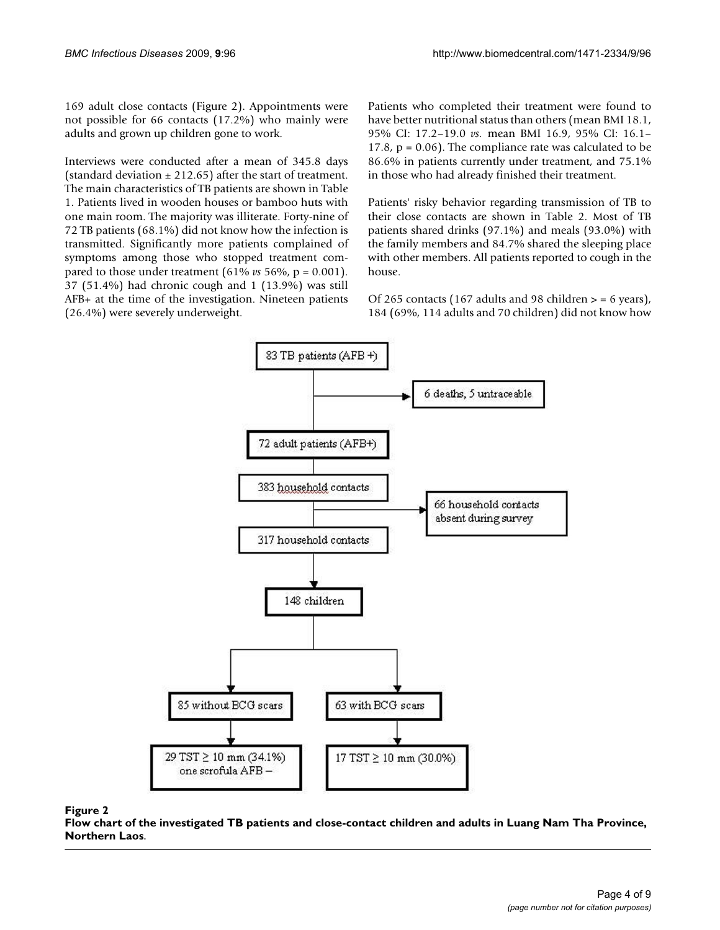169 adult close contacts (Figure 2). Appointments were not possible for 66 contacts (17.2%) who mainly were adults and grown up children gone to work.

Interviews were conducted after a mean of 345.8 days (standard deviation  $\pm$  212.65) after the start of treatment. The main characteristics of TB patients are shown in Table 1. Patients lived in wooden houses or bamboo huts with one main room. The majority was illiterate. Forty-nine of 72 TB patients (68.1%) did not know how the infection is transmitted. Significantly more patients complained of symptoms among those who stopped treatment compared to those under treatment (61% *vs* 56%, p = 0.001). 37 (51.4%) had chronic cough and 1 (13.9%) was still AFB+ at the time of the investigation. Nineteen patients (26.4%) were severely underweight.

Patients who completed their treatment were found to have better nutritional status than others (mean BMI 18.1, 95% CI: 17.2–19.0 *vs.* mean BMI 16.9, 95% CI: 16.1– 17.8,  $p = 0.06$ ). The compliance rate was calculated to be 86.6% in patients currently under treatment, and 75.1% in those who had already finished their treatment.

Patients' risky behavior regarding transmission of TB to their close contacts are shown in Table 2. Most of TB patients shared drinks (97.1%) and meals (93.0%) with the family members and 84.7% shared the sleeping place with other members. All patients reported to cough in the house.

Of 265 contacts (167 adults and 98 children  $>$  = 6 years), 184 (69%, 114 adults and 70 children) did not know how



**Flow chart of the investigated TB patients and close-contact children and adults in Luang Nam Tha Province, Northern Laos**.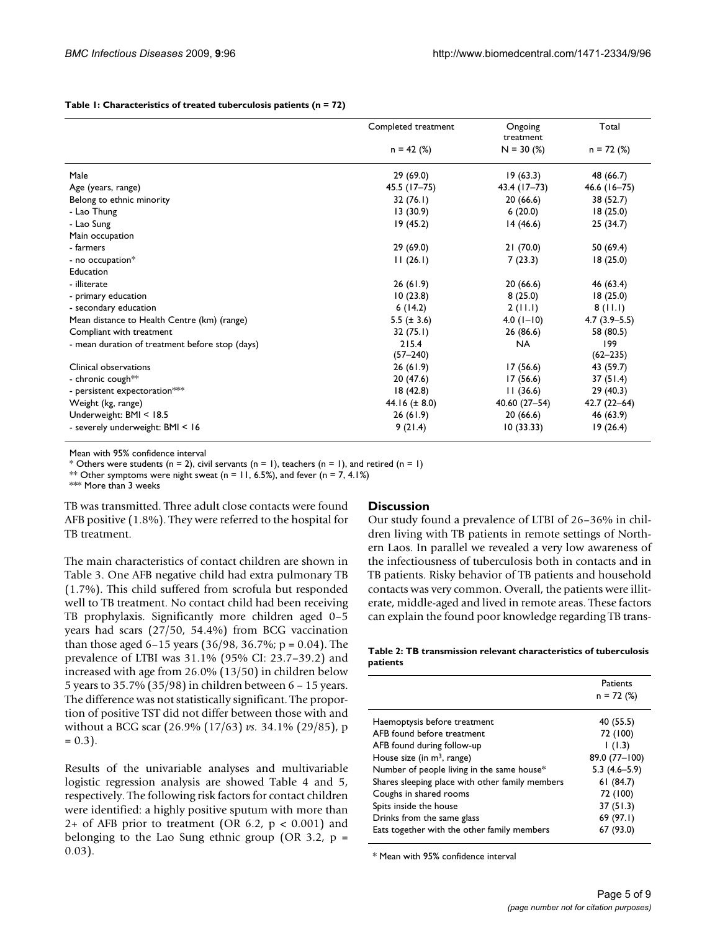#### **Table 1: Characteristics of treated tuberculosis patients (n = 72)**

|                                                 | Completed treatment | Ongoing<br>treatment | Total           |
|-------------------------------------------------|---------------------|----------------------|-----------------|
|                                                 | $n = 42$ (%)        | $N = 30$ (%)         | $n = 72$ (%)    |
| Male                                            | 29(69.0)            | 19(63.3)             | 48 (66.7)       |
| Age (years, range)                              | 45.5 (17–75)        | 43.4 (17–73)         | 46.6 (16-75)    |
| Belong to ethnic minority                       | 32(76.1)            | 20(66.6)             | 38 (52.7)       |
| - Lao Thung                                     | 13(30.9)            | 6(20.0)              | 18(25.0)        |
| - Lao Sung                                      | 19(45.2)            | 14(46.6)             | 25 (34.7)       |
| Main occupation                                 |                     |                      |                 |
| - farmers                                       | 29 (69.0)           | 21(70.0)             | 50 (69.4)       |
| - no occupation*                                | 11(26.1)            | 7(23.3)              | 18(25.0)        |
| Education                                       |                     |                      |                 |
| - illiterate                                    | 26(61.9)            | 20(66.6)             | 46 (63.4)       |
| - primary education                             | 10(23.8)            | 8(25.0)              | 18(25.0)        |
| - secondary education                           | 6(14.2)             | 2(11.1)              | 8(11.1)         |
| Mean distance to Health Centre (km) (range)     | 5.5 $(\pm 3.6)$     | $4.0(1-10)$          | $4.7(3.9-5.5)$  |
| Compliant with treatment                        | 32(75.1)            | 26 (86.6)            | 58 (80.5)       |
| - mean duration of treatment before stop (days) | 215.4               | <b>NA</b>            | 199             |
|                                                 | $(57 - 240)$        |                      | $(62 - 235)$    |
| Clinical observations                           | 26(61.9)            | 17(56.6)             | 43 (59.7)       |
| - chronic cough**                               | 20(47.6)            | 17(56.6)             | 37(51.4)        |
| - persistent expectoration***                   | 18(42.8)            | 11(36.6)             | 29(40.3)        |
| Weight (kg, range)                              | 44.16 $(\pm 8.0)$   | $40.60(27-54)$       | $42.7(22 - 64)$ |
| Underweight: BMI < 18.5                         | 26(61.9)            | 20(66.6)             | 46 (63.9)       |
| - severely underweight: BMI < 16                | 9(21.4)             | 10(33.33)            | 19(26.4)        |

Mean with 95% confidence interval

\* Others were students (n = 2), civil servants (n = 1), teachers (n = 1), and retired (n = 1)

\*\* Other symptoms were night sweat ( $n = 11, 6.5\%$ ), and fever ( $n = 7, 4.1\%$ )

\*\*\* More than 3 weeks

TB was transmitted. Three adult close contacts were found AFB positive (1.8%). They were referred to the hospital for TB treatment.

The main characteristics of contact children are shown in Table 3. One AFB negative child had extra pulmonary TB (1.7%). This child suffered from scrofula but responded well to TB treatment. No contact child had been receiving TB prophylaxis. Significantly more children aged 0–5 years had scars (27/50, 54.4%) from BCG vaccination than those aged  $6-15$  years  $(36/98, 36.7\%)$ ; p = 0.04). The prevalence of LTBI was 31.1% (95% CI: 23.7–39.2) and increased with age from 26.0% (13/50) in children below 5 years to 35.7% (35/98) in children between 6 – 15 years. The difference was not statistically significant. The proportion of positive TST did not differ between those with and without a BCG scar (26.9% (17/63) *vs.* 34.1% (29/85), p  $= 0.3$ ).

Results of the univariable analyses and multivariable logistic regression analysis are showed Table 4 and 5, respectively. The following risk factors for contact children were identified: a highly positive sputum with more than 2+ of AFB prior to treatment (OR 6.2,  $p < 0.001$ ) and belonging to the Lao Sung ethnic group (OR 3.2,  $p =$ 0.03).

### **Discussion**

Our study found a prevalence of LTBI of 26–36% in children living with TB patients in remote settings of Northern Laos. In parallel we revealed a very low awareness of the infectiousness of tuberculosis both in contacts and in TB patients. Risky behavior of TB patients and household contacts was very common. Overall, the patients were illiterate, middle-aged and lived in remote areas. These factors can explain the found poor knowledge regarding TB trans-

|          | Table 2: TB transmission relevant characteristics of tuberculosis |
|----------|-------------------------------------------------------------------|
| patients |                                                                   |

|                                                                                                                                                                                                                                                                                                              | Patients<br>$n = 72$ (%)                                                                                           |
|--------------------------------------------------------------------------------------------------------------------------------------------------------------------------------------------------------------------------------------------------------------------------------------------------------------|--------------------------------------------------------------------------------------------------------------------|
| Haemoptysis before treatment<br>AFB found before treatment<br>AFB found during follow-up<br>House size (in $m^3$ , range)<br>Number of people living in the same house*<br>Shares sleeping place with other family members<br>Coughs in shared rooms<br>Spits inside the house<br>Drinks from the same glass | 40 (55.5)<br>72 (100)<br>(1.3)<br>89.0 (77-100)<br>$5.3(4.6-5.9)$<br>61(84.7)<br>72 (100)<br>37(51.3)<br>69 (97.1) |
| Eats together with the other family members                                                                                                                                                                                                                                                                  | 67 (93.0)                                                                                                          |

\* Mean with 95% confidence interval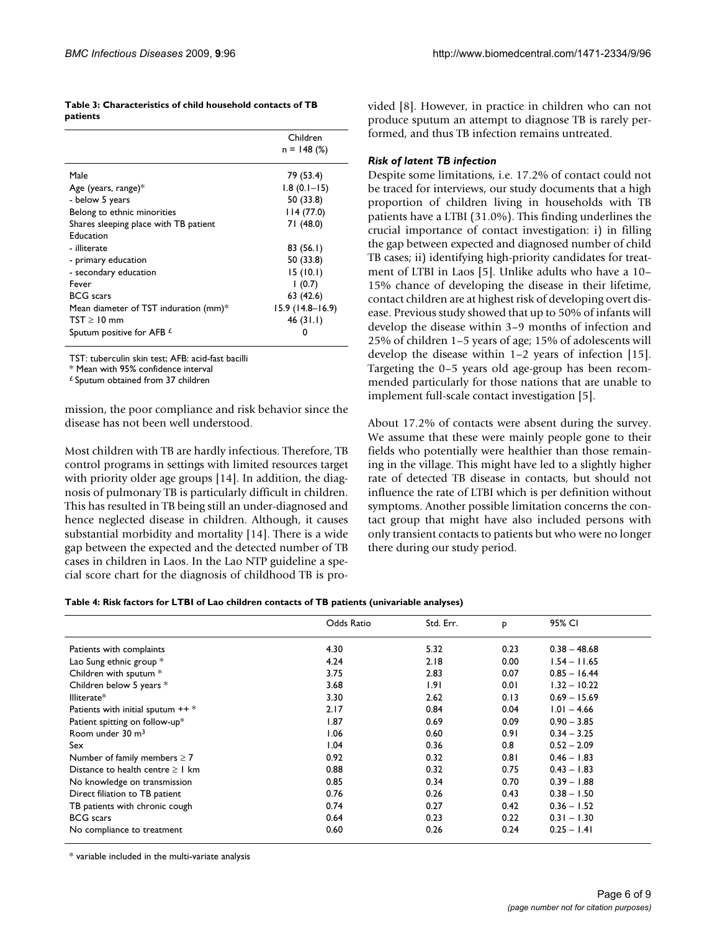#### **Table 3: Characteristics of child household contacts of TB patients**

|                                       | Children          |
|---------------------------------------|-------------------|
|                                       | $n = 148$ (%)     |
| Male                                  | 79 (53.4)         |
| Age (years, range)*                   | $1.8(0.1 - 15)$   |
| - below 5 years                       | 50 (33.8)         |
| Belong to ethnic minorities           | 114(77.0)         |
| Shares sleeping place with TB patient | 71 (48.0)         |
| <b>Education</b>                      |                   |
| - illiterate                          | 83(56.1)          |
| - primary education                   | 50 (33.8)         |
| - secondary education                 | 15(10.1)          |
| Fever                                 | (0.7)             |
| <b>BCG</b> scars                      | 63 (42.6)         |
| Mean diameter of TST induration (mm)* | $15.9(14.8-16.9)$ |
| $TST \geq 10$ mm                      | 46(31.1)          |
| Sputum positive for AFB $E$           | O                 |

TST: tuberculin skin test; AFB: acid-fast bacilli

\* Mean with 95% confidence interval

 $<sup>£</sup>$  Sputum obtained from 37 children</sup>

mission, the poor compliance and risk behavior since the disease has not been well understood.

Most children with TB are hardly infectious. Therefore, TB control programs in settings with limited resources target with priority older age groups [14]. In addition, the diagnosis of pulmonary TB is particularly difficult in children. This has resulted in TB being still an under-diagnosed and hence neglected disease in children. Although, it causes substantial morbidity and mortality [14]. There is a wide gap between the expected and the detected number of TB cases in children in Laos. In the Lao NTP guideline a special score chart for the diagnosis of childhood TB is provided [8]. However, in practice in children who can not produce sputum an attempt to diagnose TB is rarely performed, and thus TB infection remains untreated.

# *Risk of latent TB infection*

Despite some limitations, i.e. 17.2% of contact could not be traced for interviews, our study documents that a high proportion of children living in households with TB patients have a LTBI (31.0%). This finding underlines the crucial importance of contact investigation: i) in filling the gap between expected and diagnosed number of child TB cases; ii) identifying high-priority candidates for treatment of LTBI in Laos [5]. Unlike adults who have a 10– 15% chance of developing the disease in their lifetime, contact children are at highest risk of developing overt disease. Previous study showed that up to 50% of infants will develop the disease within 3–9 months of infection and 25% of children 1–5 years of age; 15% of adolescents will develop the disease within 1–2 years of infection [15]. Targeting the 0–5 years old age-group has been recommended particularly for those nations that are unable to implement full-scale contact investigation [5].

About 17.2% of contacts were absent during the survey. We assume that these were mainly people gone to their fields who potentially were healthier than those remaining in the village. This might have led to a slightly higher rate of detected TB disease in contacts, but should not influence the rate of LTBI which is per definition without symptoms. Another possible limitation concerns the contact group that might have also included persons with only transient contacts to patients but who were no longer there during our study period.

#### **Table 4: Risk factors for LTBI of Lao children contacts of TB patients (univariable analyses)**

|                                       | Odds Ratio | Std. Err. | P    | 95% CI         |
|---------------------------------------|------------|-----------|------|----------------|
| Patients with complaints              | 4.30       | 5.32      | 0.23 | $0.38 - 48.68$ |
| Lao Sung ethnic group *               | 4.24       | 2.18      | 0.00 | $1.54 - 11.65$ |
| Children with sputum *                | 3.75       | 2.83      | 0.07 | $0.85 - 16.44$ |
| Children below 5 years *              | 3.68       | 1.91      | 0.01 | $1.32 - 10.22$ |
| Illiterate*                           | 3.30       | 2.62      | 0.13 | $0.69 - 15.69$ |
| Patients with initial sputum $++$ *   | 2.17       | 0.84      | 0.04 | $1.01 - 4.66$  |
| Patient spitting on follow-up*        | 1.87       | 0.69      | 0.09 | $0.90 - 3.85$  |
| Room under $30 \text{ m}^3$           | 1.06       | 0.60      | 0.91 | $0.34 - 3.25$  |
| Sex                                   | 1.04       | 0.36      | 0.8  | $0.52 - 2.09$  |
| Number of family members $\geq 7$     | 0.92       | 0.32      | 0.81 | $0.46 - 1.83$  |
| Distance to health centre $\geq 1$ km | 0.88       | 0.32      | 0.75 | $0.43 - 1.83$  |
| No knowledge on transmission          | 0.85       | 0.34      | 0.70 | $0.39 - 1.88$  |
| Direct filiation to TB patient        | 0.76       | 0.26      | 0.43 | $0.38 - 1.50$  |
| TB patients with chronic cough        | 0.74       | 0.27      | 0.42 | $0.36 - 1.52$  |
| <b>BCG</b> scars                      | 0.64       | 0.23      | 0.22 | $0.31 - 1.30$  |
| No compliance to treatment            | 0.60       | 0.26      | 0.24 | $0.25 - 1.41$  |

\* variable included in the multi-variate analysis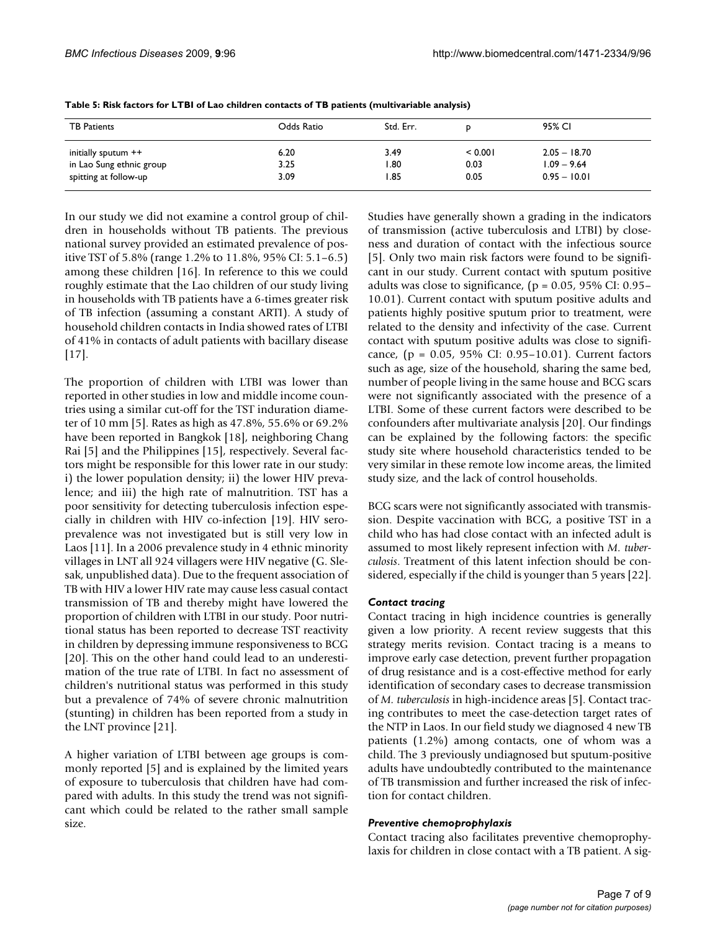| <b>TB Patients</b>       | Odds Ratio | Std. Err. |         | 95% CI         |
|--------------------------|------------|-----------|---------|----------------|
| initially sputum ++      | 6.20       | 3.49      | < 0.001 | $2.05 - 18.70$ |
| in Lao Sung ethnic group | 3.25       | 1.80      | 0.03    | $1.09 - 9.64$  |
| spitting at follow-up    | 3.09       | I.85      | 0.05    | $0.95 - 10.01$ |

**Table 5: Risk factors for LTBI of Lao children contacts of TB patients (multivariable analysis)**

In our study we did not examine a control group of children in households without TB patients. The previous national survey provided an estimated prevalence of positive TST of 5.8% (range 1.2% to 11.8%, 95% CI: 5.1–6.5) among these children [16]. In reference to this we could roughly estimate that the Lao children of our study living in households with TB patients have a 6-times greater risk of TB infection (assuming a constant ARTI). A study of household children contacts in India showed rates of LTBI of 41% in contacts of adult patients with bacillary disease [17].

The proportion of children with LTBI was lower than reported in other studies in low and middle income countries using a similar cut-off for the TST induration diameter of 10 mm [5]. Rates as high as 47.8%, 55.6% or 69.2% have been reported in Bangkok [18], neighboring Chang Rai [5] and the Philippines [15], respectively. Several factors might be responsible for this lower rate in our study: i) the lower population density; ii) the lower HIV prevalence; and iii) the high rate of malnutrition. TST has a poor sensitivity for detecting tuberculosis infection especially in children with HIV co-infection [19]. HIV seroprevalence was not investigated but is still very low in Laos [11]. In a 2006 prevalence study in 4 ethnic minority villages in LNT all 924 villagers were HIV negative (G. Slesak, unpublished data). Due to the frequent association of TB with HIV a lower HIV rate may cause less casual contact transmission of TB and thereby might have lowered the proportion of children with LTBI in our study. Poor nutritional status has been reported to decrease TST reactivity in children by depressing immune responsiveness to BCG [20]. This on the other hand could lead to an underestimation of the true rate of LTBI. In fact no assessment of children's nutritional status was performed in this study but a prevalence of 74% of severe chronic malnutrition (stunting) in children has been reported from a study in the LNT province [21].

A higher variation of LTBI between age groups is commonly reported [5] and is explained by the limited years of exposure to tuberculosis that children have had compared with adults. In this study the trend was not significant which could be related to the rather small sample size.

Studies have generally shown a grading in the indicators of transmission (active tuberculosis and LTBI) by closeness and duration of contact with the infectious source [5]. Only two main risk factors were found to be significant in our study. Current contact with sputum positive adults was close to significance, ( $p = 0.05$ , 95% CI: 0.95– 10.01). Current contact with sputum positive adults and patients highly positive sputum prior to treatment, were related to the density and infectivity of the case. Current contact with sputum positive adults was close to significance, (p = 0.05, 95% CI: 0.95–10.01). Current factors such as age, size of the household, sharing the same bed, number of people living in the same house and BCG scars were not significantly associated with the presence of a LTBI. Some of these current factors were described to be confounders after multivariate analysis [20]. Our findings can be explained by the following factors: the specific study site where household characteristics tended to be very similar in these remote low income areas, the limited study size, and the lack of control households.

BCG scars were not significantly associated with transmission. Despite vaccination with BCG, a positive TST in a child who has had close contact with an infected adult is assumed to most likely represent infection with *M. tuberculosis*. Treatment of this latent infection should be considered, especially if the child is younger than 5 years [22].

### *Contact tracing*

Contact tracing in high incidence countries is generally given a low priority. A recent review suggests that this strategy merits revision. Contact tracing is a means to improve early case detection, prevent further propagation of drug resistance and is a cost-effective method for early identification of secondary cases to decrease transmission of *M. tuberculosis* in high-incidence areas [5]. Contact tracing contributes to meet the case-detection target rates of the NTP in Laos. In our field study we diagnosed 4 new TB patients (1.2%) among contacts, one of whom was a child. The 3 previously undiagnosed but sputum-positive adults have undoubtedly contributed to the maintenance of TB transmission and further increased the risk of infection for contact children.

### *Preventive chemoprophylaxis*

Contact tracing also facilitates preventive chemoprophylaxis for children in close contact with a TB patient. A sig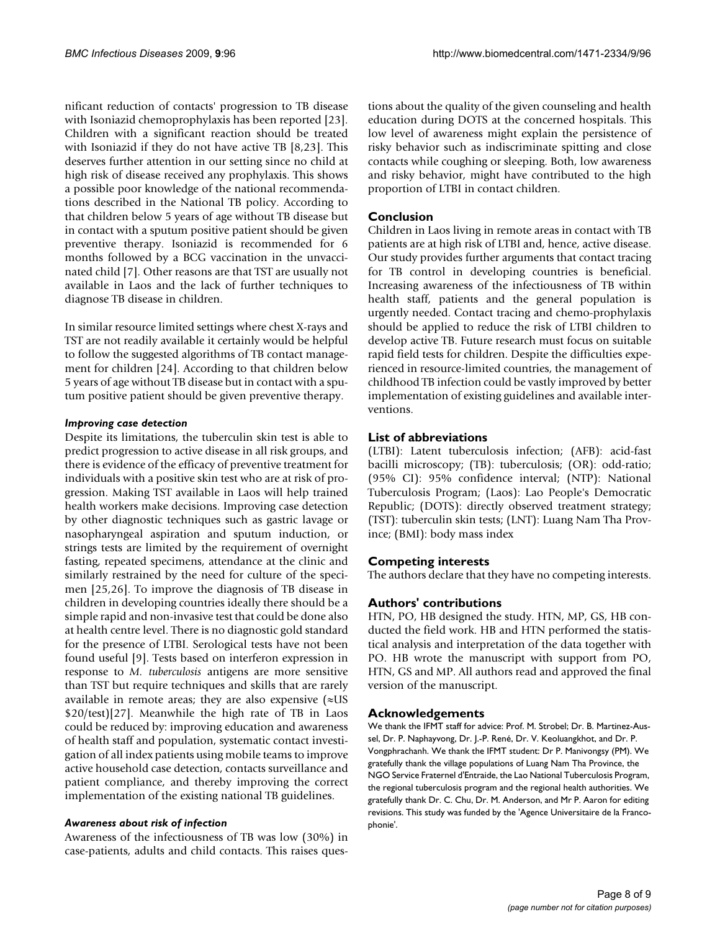nificant reduction of contacts' progression to TB disease with Isoniazid chemoprophylaxis has been reported [23]. Children with a significant reaction should be treated with Isoniazid if they do not have active TB [8,23]. This deserves further attention in our setting since no child at high risk of disease received any prophylaxis. This shows a possible poor knowledge of the national recommendations described in the National TB policy. According to that children below 5 years of age without TB disease but in contact with a sputum positive patient should be given preventive therapy. Isoniazid is recommended for 6 months followed by a BCG vaccination in the unvaccinated child [7]. Other reasons are that TST are usually not available in Laos and the lack of further techniques to diagnose TB disease in children.

In similar resource limited settings where chest X-rays and TST are not readily available it certainly would be helpful to follow the suggested algorithms of TB contact management for children [24]. According to that children below 5 years of age without TB disease but in contact with a sputum positive patient should be given preventive therapy.

# *Improving case detection*

Despite its limitations, the tuberculin skin test is able to predict progression to active disease in all risk groups, and there is evidence of the efficacy of preventive treatment for individuals with a positive skin test who are at risk of progression. Making TST available in Laos will help trained health workers make decisions. Improving case detection by other diagnostic techniques such as gastric lavage or nasopharyngeal aspiration and sputum induction, or strings tests are limited by the requirement of overnight fasting, repeated specimens, attendance at the clinic and similarly restrained by the need for culture of the specimen [25,26]. To improve the diagnosis of TB disease in children in developing countries ideally there should be a simple rapid and non-invasive test that could be done also at health centre level. There is no diagnostic gold standard for the presence of LTBI. Serological tests have not been found useful [9]. Tests based on interferon expression in response to *M. tuberculosis* antigens are more sensitive than TST but require techniques and skills that are rarely available in remote areas; they are also expensive  $\approx$  US \$20/test)[27]. Meanwhile the high rate of TB in Laos could be reduced by: improving education and awareness of health staff and population, systematic contact investigation of all index patients using mobile teams to improve active household case detection, contacts surveillance and patient compliance, and thereby improving the correct implementation of the existing national TB guidelines.

# *Awareness about risk of infection*

Awareness of the infectiousness of TB was low (30%) in case-patients, adults and child contacts. This raises questions about the quality of the given counseling and health education during DOTS at the concerned hospitals. This low level of awareness might explain the persistence of risky behavior such as indiscriminate spitting and close contacts while coughing or sleeping. Both, low awareness and risky behavior, might have contributed to the high proportion of LTBI in contact children.

# **Conclusion**

Children in Laos living in remote areas in contact with TB patients are at high risk of LTBI and, hence, active disease. Our study provides further arguments that contact tracing for TB control in developing countries is beneficial. Increasing awareness of the infectiousness of TB within health staff, patients and the general population is urgently needed. Contact tracing and chemo-prophylaxis should be applied to reduce the risk of LTBI children to develop active TB. Future research must focus on suitable rapid field tests for children. Despite the difficulties experienced in resource-limited countries, the management of childhood TB infection could be vastly improved by better implementation of existing guidelines and available interventions.

# **List of abbreviations**

(LTBI): Latent tuberculosis infection; (AFB): acid-fast bacilli microscopy; (TB): tuberculosis; (OR): odd-ratio; (95% CI): 95% confidence interval; (NTP): National Tuberculosis Program; (Laos): Lao People's Democratic Republic; (DOTS): directly observed treatment strategy; (TST): tuberculin skin tests; (LNT): Luang Nam Tha Province; (BMI): body mass index

# **Competing interests**

The authors declare that they have no competing interests.

# **Authors' contributions**

HTN, PO, HB designed the study. HTN, MP, GS, HB conducted the field work. HB and HTN performed the statistical analysis and interpretation of the data together with PO. HB wrote the manuscript with support from PO, HTN, GS and MP. All authors read and approved the final version of the manuscript.

# **Acknowledgements**

We thank the IFMT staff for advice: Prof. M. Strobel; Dr. B. Martinez-Aussel, Dr. P. Naphayvong, Dr. J.-P. René, Dr. V. Keoluangkhot, and Dr. P. Vongphrachanh. We thank the IFMT student: Dr P. Manivongsy (PM). We gratefully thank the village populations of Luang Nam Tha Province, the NGO Service Fraternel d'Entraide, the Lao National Tuberculosis Program, the regional tuberculosis program and the regional health authorities. We gratefully thank Dr. C. Chu, Dr. M. Anderson, and Mr P. Aaron for editing revisions. This study was funded by the 'Agence Universitaire de la Francophonie'.